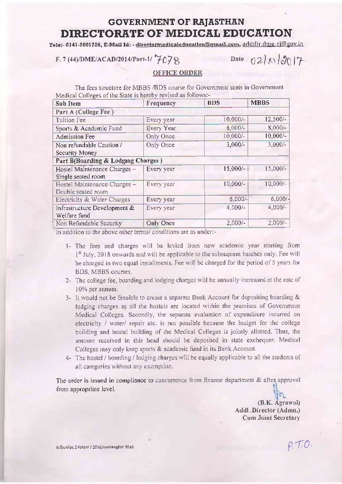## **GOVERNMENT OF RAJASTHAN** DIRECTORATE OF MEDICAL EDUCATION

Tele:-0141-2601726, E-Mail Id: - directormedicaleducation@gmail.com, adddir.dme-rj@gov.in

F. 7 (44)/DME/ACAD/2014/Part-1/ $7678$ 

Date  $021x12017$ 

## **OFFICE ORDER**

The fees structure for MBBS /BDS course for Government seats in Government Medical Colleges of the State is hereby revised as follows:-

| Sub Item                           | Frequency        | <b>BDS</b> | <b>MBBS</b> |
|------------------------------------|------------------|------------|-------------|
| Part A (College Fee)               |                  |            |             |
| Tuition Fee                        | Every year       | $10,000/-$ | $12,500-$   |
| Sports & Academic Fund             | Every Year       | 8,000/-    | 8,000/-     |
| <b>Admission Fee</b>               | Only Once        | $10,000/-$ | $10,000/-$  |
| Non refundable Caution /           | Only Once        | $3,000/-$  | $3,000/-$   |
| Security Money                     |                  |            |             |
| Part B(Boarding & Lodging Charges) |                  |            |             |
| Hostel Maintenance Charges -       | Every year       | $15,000/-$ | $15,000/-$  |
| Single seated room                 |                  |            |             |
| Hostel Maintenance Charges -       | Every year       | $10,000/-$ | 10,000/-    |
| Double seated room                 |                  |            |             |
| Electricity & Water Charges        | Every year       | $6,000/-$  | 6,000/      |
| Infrastructure Development &       | Every year       | $4,000/-$  | $4,000/-$   |
| Welfare fund                       |                  |            |             |
| Non Refundable Security            | <b>Only Once</b> | $2,000/-$  | $2,000/-$   |

In addition to the above other terms/ conditions are as undert-

- 1- The fees and charges will be levied from new academic year starting from 1<sup>st</sup> July, 2018 onwards and will be applicable to the subsequent batches only. Fee will be charged in two equal installments. Fee will be charged for the period of 5 years for BDS, MBBS courses.
- 2- The college fee, boarding and lodging charges will be annually increased at the rate of 10% per annum.
- 3- It would not be feasible to create a separate Bank Account for depositing boarding & lodging charges as all the hostels are located within the premises of Government Medical Colleges, Secondly, the separate evaluation of expenditure incurred on electricity / water/ repair etc. is not possible because the budget for the college building and hostel building of the Medical Colleges is jointly allotted. Thus, the amount received in this head should be deposited in state exchequer. Medical Colleges may only keep sports & academic fund in its Bank Account.
- 4- The hostel / boarding / lodging charges will be equally applicable to all the students of all categories without any exemption.

The order is issued in compliance to concurrence from finance department & after approval from appropriate level.

> (B.K. Agrawal) Addl .Director (Admu.) Cum Joint Secretary